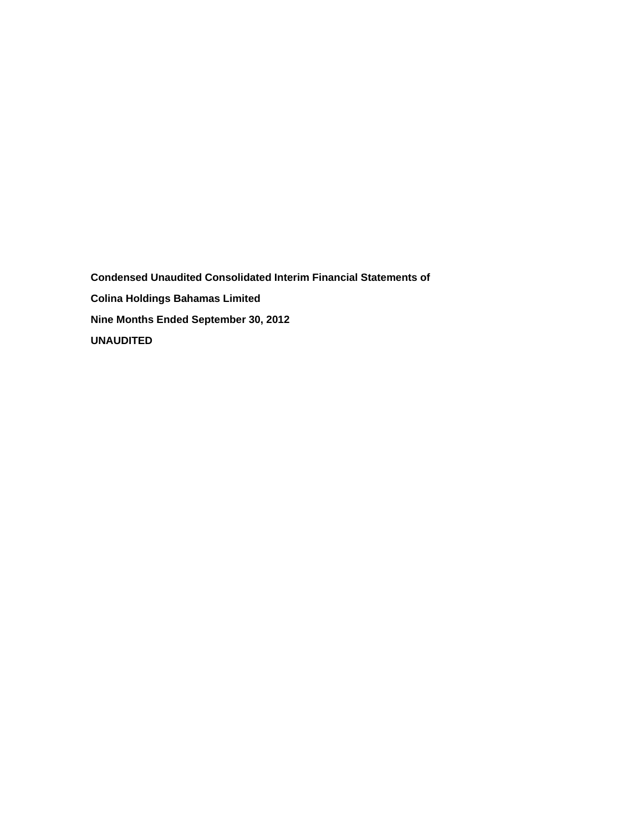**Condensed Unaudited Consolidated Interim Financial Statements of Colina Holdings Bahamas Limited Nine Months Ended September 30, 2012 UNAUDITED**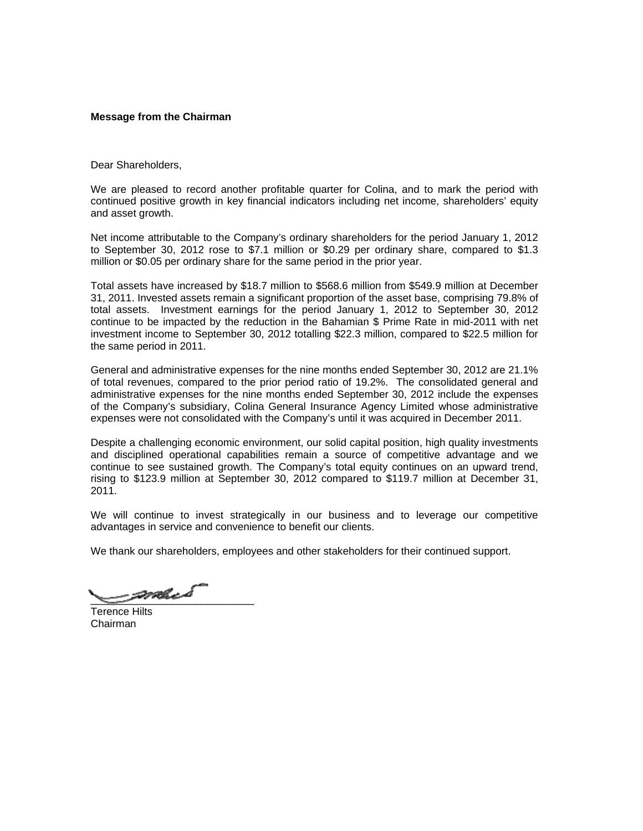## **Message from the Chairman**

Dear Shareholders,

We are pleased to record another profitable quarter for Colina, and to mark the period with continued positive growth in key financial indicators including net income, shareholders' equity and asset growth.

Net income attributable to the Company's ordinary shareholders for the period January 1, 2012 to September 30, 2012 rose to \$7.1 million or \$0.29 per ordinary share, compared to \$1.3 million or \$0.05 per ordinary share for the same period in the prior year.

Total assets have increased by \$18.7 million to \$568.6 million from \$549.9 million at December 31, 2011. Invested assets remain a significant proportion of the asset base, comprising 79.8% of total assets. Investment earnings for the period January 1, 2012 to September 30, 2012 continue to be impacted by the reduction in the Bahamian \$ Prime Rate in mid-2011 with net investment income to September 30, 2012 totalling \$22.3 million, compared to \$22.5 million for the same period in 2011.

General and administrative expenses for the nine months ended September 30, 2012 are 21.1% of total revenues, compared to the prior period ratio of 19.2%. The consolidated general and administrative expenses for the nine months ended September 30, 2012 include the expenses of the Company's subsidiary, Colina General Insurance Agency Limited whose administrative expenses were not consolidated with the Company's until it was acquired in December 2011.

Despite a challenging economic environment, our solid capital position, high quality investments and disciplined operational capabilities remain a source of competitive advantage and we continue to see sustained growth. The Company's total equity continues on an upward trend, rising to \$123.9 million at September 30, 2012 compared to \$119.7 million at December 31, 2011.

We will continue to invest strategically in our business and to leverage our competitive advantages in service and convenience to benefit our clients.

We thank our shareholders, employees and other stakeholders for their continued support.

 $\mathscr{P}\mathscr{P}\mathscr{C}\mathscr{Q}$ 

Terence Hilts Chairman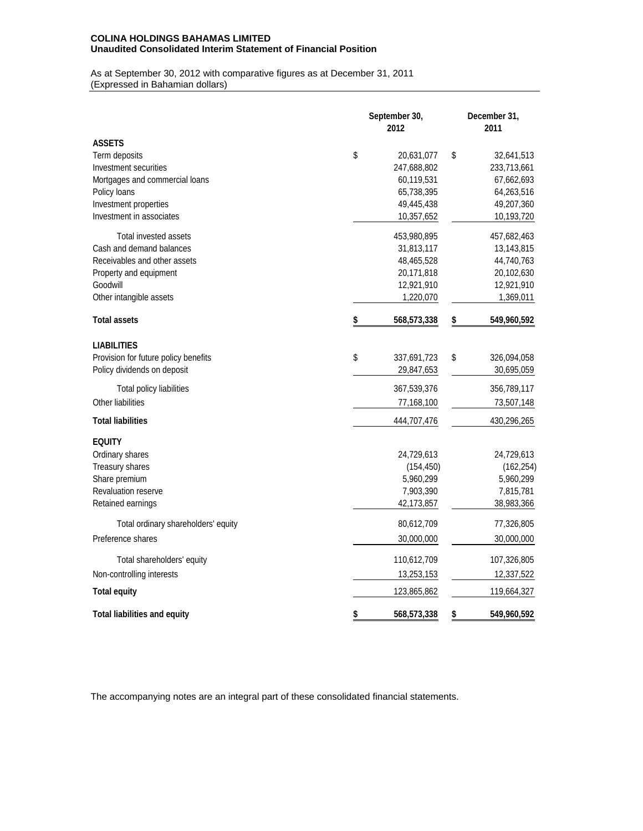## **COLINA HOLDINGS BAHAMAS LIMITED Unaudited Consolidated Interim Statement of Financial Position**

As at September 30, 2012 with comparative figures as at December 31, 2011 (Expressed in Bahamian dollars)

|                                      | September 30,<br>2012 | December 31,<br>2011 |
|--------------------------------------|-----------------------|----------------------|
| <b>ASSETS</b>                        |                       |                      |
| Term deposits                        | \$<br>20,631,077      | \$<br>32,641,513     |
| Investment securities                | 247,688,802           | 233,713,661          |
| Mortgages and commercial loans       | 60,119,531            | 67,662,693           |
| Policy loans                         | 65,738,395            | 64,263,516           |
| Investment properties                | 49,445,438            | 49,207,360           |
| Investment in associates             | 10,357,652            | 10,193,720           |
| Total invested assets                | 453,980,895           | 457,682,463          |
| Cash and demand balances             | 31,813,117            | 13,143,815           |
| Receivables and other assets         | 48,465,528            | 44,740,763           |
| Property and equipment               | 20,171,818            | 20,102,630           |
| Goodwill                             | 12,921,910            | 12,921,910           |
| Other intangible assets              | 1,220,070             | 1,369,011            |
| <b>Total assets</b>                  | \$<br>568,573,338     | \$<br>549,960,592    |
| <b>LIABILITIES</b>                   |                       |                      |
| Provision for future policy benefits | \$<br>337,691,723     | \$<br>326,094,058    |
| Policy dividends on deposit          | 29,847,653            | 30,695,059           |
| Total policy liabilities             | 367,539,376           | 356,789,117          |
| Other liabilities                    | 77,168,100            | 73,507,148           |
| <b>Total liabilities</b>             | 444,707,476           | 430,296,265          |
| <b>EQUITY</b>                        |                       |                      |
| Ordinary shares                      | 24,729,613            | 24,729,613           |
| Treasury shares                      | (154, 450)            | (162, 254)           |
| Share premium                        | 5,960,299             | 5,960,299            |
| <b>Revaluation reserve</b>           | 7,903,390             | 7,815,781            |
| Retained earnings                    | 42,173,857            | 38,983,366           |
| Total ordinary shareholders' equity  | 80,612,709            | 77,326,805           |
| Preference shares                    | 30,000,000            | 30,000,000           |
| Total shareholders' equity           | 110,612,709           | 107,326,805          |
| Non-controlling interests            | 13,253,153            | 12,337,522           |
| <b>Total equity</b>                  | 123,865,862           | 119,664,327          |
| Total liabilities and equity         | \$<br>568,573,338     | \$<br>549,960,592    |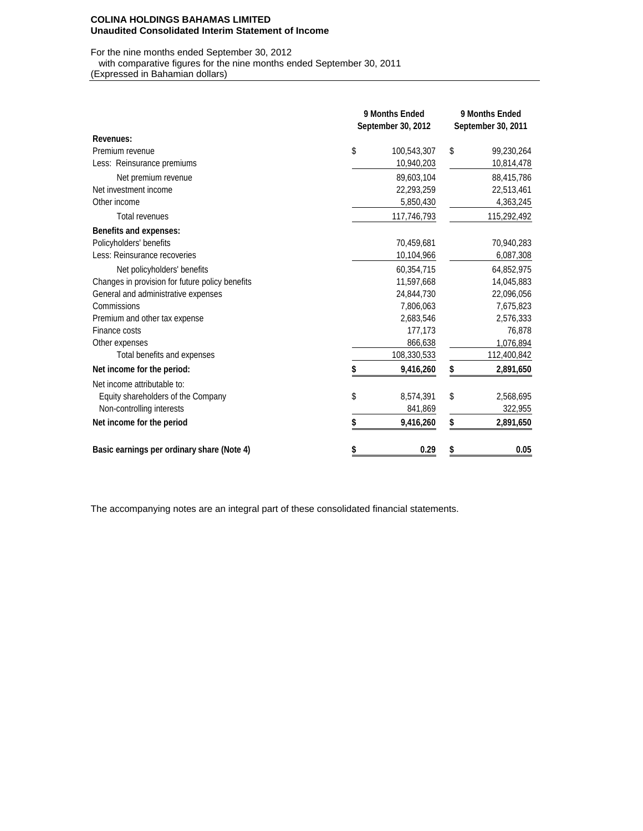#### **COLINA HOLDINGS BAHAMAS LIMITED Unaudited Consolidated Interim Statement of Income**

For the nine months ended September 30, 2012 with comparative figures for the nine months ended September 30, 2011

(Expressed in Bahamian dollars)

|                                                 | 9 Months Ended<br>September 30, 2012 | 9 Months Ended<br>September 30, 2011 |
|-------------------------------------------------|--------------------------------------|--------------------------------------|
| Revenues:                                       |                                      |                                      |
| Premium revenue                                 | \$<br>100,543,307                    | \$<br>99,230,264                     |
| Less: Reinsurance premiums                      | 10,940,203                           | 10,814,478                           |
| Net premium revenue                             | 89,603,104                           | 88,415,786                           |
| Net investment income                           | 22,293,259                           | 22,513,461                           |
| Other income                                    | 5,850,430                            | 4,363,245                            |
| <b>Total revenues</b>                           | 117,746,793                          | 115,292,492                          |
| <b>Benefits and expenses:</b>                   |                                      |                                      |
| Policyholders' benefits                         | 70,459,681                           | 70,940,283                           |
| Less: Reinsurance recoveries                    | 10,104,966                           | 6,087,308                            |
| Net policyholders' benefits                     | 60,354,715                           | 64,852,975                           |
| Changes in provision for future policy benefits | 11,597,668                           | 14,045,883                           |
| General and administrative expenses             | 24,844,730                           | 22,096,056                           |
| Commissions                                     | 7,806,063                            | 7,675,823                            |
| Premium and other tax expense                   | 2,683,546                            | 2,576,333                            |
| Finance costs                                   | 177,173                              | 76,878                               |
| Other expenses                                  | 866,638                              | 1,076,894                            |
| Total benefits and expenses                     | 108,330,533                          | 112,400,842                          |
| Net income for the period:                      | 9,416,260                            | \$<br>2,891,650                      |
| Net income attributable to:                     |                                      |                                      |
| Equity shareholders of the Company              | \$<br>8,574,391                      | \$<br>2,568,695                      |
| Non-controlling interests                       | 841,869                              | 322,955                              |
| Net income for the period                       | 9,416,260                            | \$<br>2,891,650                      |
| Basic earnings per ordinary share (Note 4)      | 0.29                                 | 0.05                                 |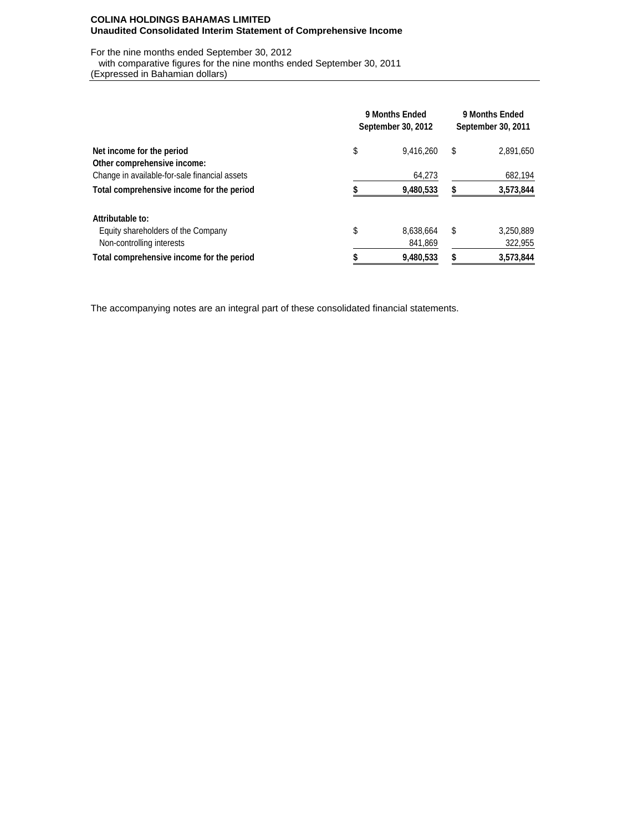### **COLINA HOLDINGS BAHAMAS LIMITED Unaudited Consolidated Interim Statement of Comprehensive Income**

For the nine months ended September 30, 2012 with comparative figures for the nine months ended September 30, 2011

(Expressed in Bahamian dollars)

|                                               | 9 Months Ended<br>September 30, 2012 | 9 Months Ended<br>September 30, 2011 |
|-----------------------------------------------|--------------------------------------|--------------------------------------|
| Net income for the period                     | \$<br>9.416.260                      | \$<br>2,891,650                      |
| Other comprehensive income:                   |                                      |                                      |
| Change in available-for-sale financial assets | 64.273                               | 682,194                              |
| Total comprehensive income for the period     | 9,480,533                            | 3,573,844                            |
| Attributable to:                              |                                      |                                      |
| Equity shareholders of the Company            | \$<br>8.638.664                      | \$<br>3,250,889                      |
| Non-controlling interests                     | 841,869                              | 322,955                              |
| Total comprehensive income for the period     | 9,480,533                            | 3,573,844                            |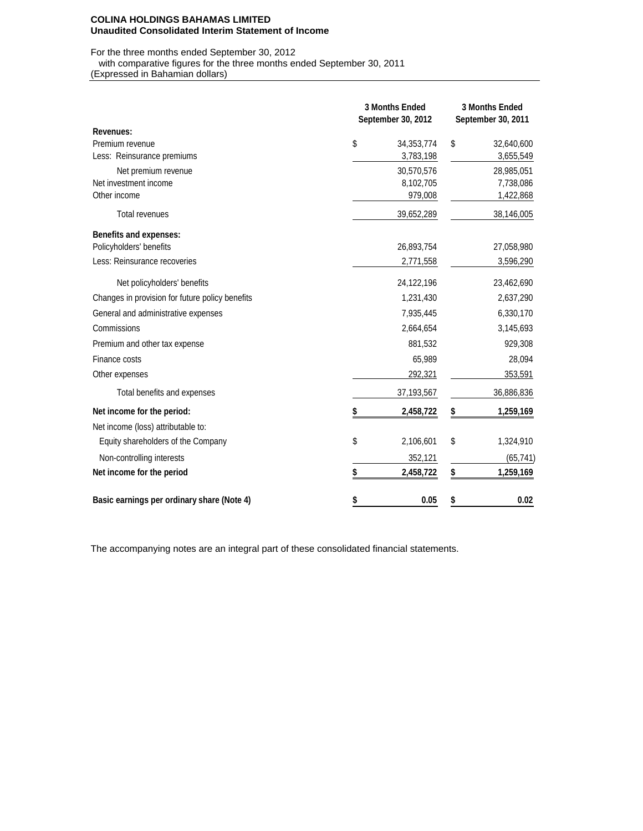#### **COLINA HOLDINGS BAHAMAS LIMITED Unaudited Consolidated Interim Statement of Income**

For the three months ended September 30, 2012

with comparative figures for the three months ended September 30, 2011

(Expressed in Bahamian dollars)

|                                                 | <b>3 Months Ended</b><br>September 30, 2012 | <b>3 Months Ended</b><br>September 30, 2011 |
|-------------------------------------------------|---------------------------------------------|---------------------------------------------|
| <b>Revenues:</b>                                |                                             |                                             |
| Premium revenue                                 | \$<br>34, 353, 774                          | \$<br>32,640,600                            |
| Less: Reinsurance premiums                      | 3,783,198                                   | 3,655,549                                   |
| Net premium revenue                             | 30,570,576                                  | 28,985,051                                  |
| Net investment income                           | 8,102,705                                   | 7,738,086                                   |
| Other income                                    | 979,008                                     | 1,422,868                                   |
| <b>Total revenues</b>                           | 39,652,289                                  | 38,146,005                                  |
| <b>Benefits and expenses:</b>                   |                                             |                                             |
| Policyholders' benefits                         | 26,893,754                                  | 27,058,980                                  |
| Less: Reinsurance recoveries                    | 2,771,558                                   | 3,596,290                                   |
| Net policyholders' benefits                     | 24,122,196                                  | 23,462,690                                  |
| Changes in provision for future policy benefits | 1,231,430                                   | 2,637,290                                   |
| General and administrative expenses             | 7,935,445                                   | 6,330,170                                   |
| Commissions                                     | 2,664,654                                   | 3,145,693                                   |
| Premium and other tax expense                   | 881,532                                     | 929,308                                     |
| Finance costs                                   | 65,989                                      | 28,094                                      |
| Other expenses                                  | 292,321                                     | 353,591                                     |
| Total benefits and expenses                     | 37,193,567                                  | 36,886,836                                  |
| Net income for the period:                      | 2,458,722                                   | \$<br>1,259,169                             |
| Net income (loss) attributable to:              |                                             |                                             |
| Equity shareholders of the Company              | \$<br>2,106,601                             | \$<br>1,324,910                             |
| Non-controlling interests                       | 352,121                                     | (65, 741)                                   |
| Net income for the period                       | \$<br>2,458,722                             | \$<br>1,259,169                             |
| Basic earnings per ordinary share (Note 4)      | \$<br>0.05                                  | \$<br>0.02                                  |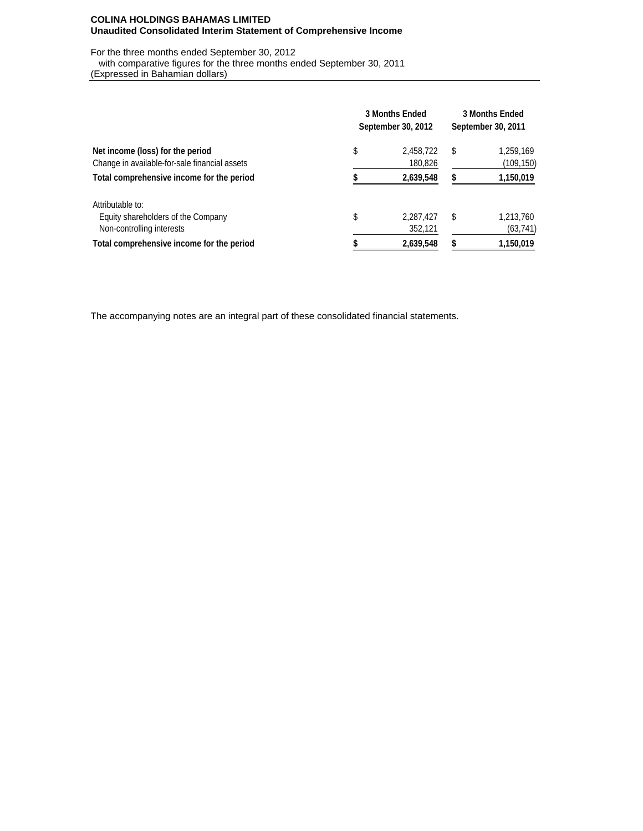### **COLINA HOLDINGS BAHAMAS LIMITED Unaudited Consolidated Interim Statement of Comprehensive Income**

For the three months ended September 30, 2012

 with comparative figures for the three months ended September 30, 2011 (Expressed in Bahamian dollars)

|                                                                                   | <b>3 Months Ended</b><br>September 30, 2012 | <b>3 Months Ended</b><br>September 30, 2011 |
|-----------------------------------------------------------------------------------|---------------------------------------------|---------------------------------------------|
| Net income (loss) for the period<br>Change in available-for-sale financial assets | \$<br>2,458,722<br>180,826                  | \$<br>1,259,169<br>(109,150)                |
| Total comprehensive income for the period                                         | 2,639,548                                   | 1,150,019                                   |
| Attributable to:                                                                  |                                             |                                             |
| Equity shareholders of the Company                                                | \$<br>2,287,427                             | \$<br>1,213,760                             |
| Non-controlling interests                                                         | 352,121                                     | (63, 741)                                   |
| Total comprehensive income for the period                                         | 2,639,548                                   | 1,150,019                                   |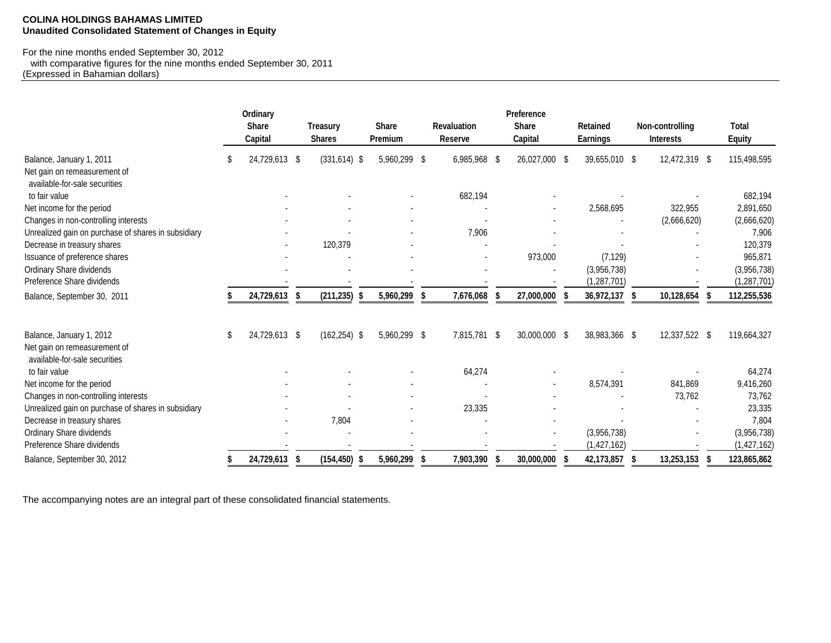#### **COLINA HOLDINGS BAHAMAS LIMITED Unaudited Consolidated Statement of Changes in Equity**

# For the nine months ended September 30, 2012

 with comparative figures for the nine months ended September 30, 2011 (Expressed in Bahamian dollars)

|                                                                                           |   | Ordinary<br><b>Share</b><br>Capital |      | <b>Treasury</b><br><b>Shares</b> |    | Share<br><b>Premium</b> | <b>Revaluation</b><br><b>Reserve</b> |      | Preference<br><b>Share</b><br>Capital | <b>Retained</b><br><b>Earnings</b> | Non-controlling<br><b>Interests</b> | <b>Total</b><br><b>Equity</b> |
|-------------------------------------------------------------------------------------------|---|-------------------------------------|------|----------------------------------|----|-------------------------|--------------------------------------|------|---------------------------------------|------------------------------------|-------------------------------------|-------------------------------|
| Balance, January 1, 2011<br>Net gain on remeasurement of<br>available-for-sale securities | S | 24,729,613 \$                       |      | $(331, 614)$ \$                  |    | 5,960,299 \$            | 6,985,968                            | - \$ | 26,027,000 \$                         | 39,655,010 \$                      | 12,472,319 \$                       | 115,498,595                   |
| to fair value                                                                             |   |                                     |      |                                  |    |                         | 682,194                              |      |                                       |                                    |                                     | 682,194                       |
| Net income for the period                                                                 |   |                                     |      |                                  |    |                         |                                      |      |                                       | 2,568,695                          | 322,955                             | 2,891,650                     |
| Changes in non-controlling interests                                                      |   |                                     |      |                                  |    |                         |                                      |      |                                       |                                    | (2,666,620)                         | (2,666,620)                   |
| Unrealized gain on purchase of shares in subsidiary                                       |   |                                     |      |                                  |    |                         | 7,906                                |      |                                       |                                    |                                     | 7,906                         |
| Decrease in treasury shares                                                               |   |                                     |      | 120,379                          |    |                         |                                      |      |                                       |                                    |                                     | 120,379                       |
| Issuance of preference shares                                                             |   |                                     |      |                                  |    |                         |                                      |      | 973,000                               | (7, 129)                           |                                     | 965,871                       |
| Ordinary Share dividends                                                                  |   |                                     |      |                                  |    |                         |                                      |      |                                       | (3,956,738)                        |                                     | (3,956,738)                   |
| Preference Share dividends                                                                |   |                                     |      |                                  |    |                         |                                      |      |                                       | (1, 287, 701)                      |                                     | (1, 287, 701)                 |
| Balance, September 30, 2011                                                               |   | 24,729,613                          | - \$ | (211, 235)                       | -5 | 5,960,299               | 7,676,068                            |      | 27,000,000                            | 36,972,137                         | 10,128,654                          | 112,255,536                   |
| Balance, January 1, 2012<br>Net gain on remeasurement of                                  | S | 24,729,613 \$                       |      | $(162, 254)$ \$                  |    | 5,960,299 \$            | 7,815,781 \$                         |      | 30,000,000 \$                         | 38,983,366 \$                      | 12,337,522 \$                       | 119,664,327                   |
| available-for-sale securities                                                             |   |                                     |      |                                  |    |                         |                                      |      |                                       |                                    |                                     |                               |
| to fair value                                                                             |   |                                     |      |                                  |    |                         | 64,274                               |      |                                       |                                    |                                     | 64,274                        |
| Net income for the period                                                                 |   |                                     |      |                                  |    |                         |                                      |      |                                       | 8,574,391                          | 841,869                             | 9,416,260                     |
| Changes in non-controlling interests                                                      |   |                                     |      |                                  |    |                         |                                      |      |                                       |                                    | 73,762                              | 73,762                        |
| Unrealized gain on purchase of shares in subsidiary                                       |   |                                     |      |                                  |    |                         | 23,335                               |      |                                       |                                    |                                     | 23,335                        |
| Decrease in treasury shares                                                               |   |                                     |      | 7,804                            |    |                         |                                      |      |                                       |                                    |                                     | 7,804                         |
| Ordinary Share dividends                                                                  |   |                                     |      |                                  |    |                         |                                      |      |                                       | (3,956,738)                        |                                     | (3,956,738)                   |
| Preference Share dividends                                                                |   |                                     |      |                                  |    |                         |                                      |      |                                       | (1, 427, 162)                      |                                     | (1, 427, 162)                 |
| Balance, September 30, 2012                                                               |   | 24,729,613                          | -5   | (154, 450)                       |    | 5,960,299               | 7,903,390                            |      | 30,000,000                            | 42,173,857                         | 13,253,153                          | 123,865,862                   |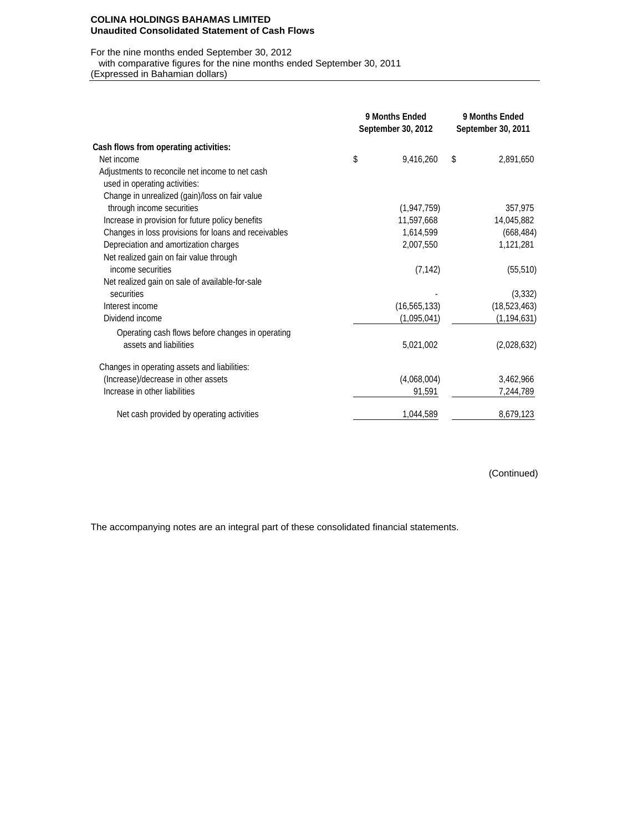#### **COLINA HOLDINGS BAHAMAS LIMITED Unaudited Consolidated Statement of Cash Flows**

## For the nine months ended September 30, 2012

with comparative figures for the nine months ended September 30, 2011

(Expressed in Bahamian dollars)

|                                                      | 9 Months Ended<br>September 30, 2012 |                | 9 Months Ended<br>September 30, 2011 |                |  |
|------------------------------------------------------|--------------------------------------|----------------|--------------------------------------|----------------|--|
| Cash flows from operating activities:                |                                      |                |                                      |                |  |
| Net income                                           | \$                                   | 9,416,260      | \$                                   | 2,891,650      |  |
| Adjustments to reconcile net income to net cash      |                                      |                |                                      |                |  |
| used in operating activities:                        |                                      |                |                                      |                |  |
| Change in unrealized (gain)/loss on fair value       |                                      |                |                                      |                |  |
| through income securities                            |                                      | (1,947,759)    |                                      | 357,975        |  |
| Increase in provision for future policy benefits     |                                      | 11,597,668     |                                      | 14,045,882     |  |
| Changes in loss provisions for loans and receivables |                                      | 1,614,599      |                                      | (668, 484)     |  |
| Depreciation and amortization charges                |                                      | 2,007,550      |                                      | 1,121,281      |  |
| Net realized gain on fair value through              |                                      |                |                                      |                |  |
| income securities                                    |                                      | (7, 142)       |                                      | (55, 510)      |  |
| Net realized gain on sale of available-for-sale      |                                      |                |                                      |                |  |
| securities                                           |                                      |                |                                      | (3, 332)       |  |
| Interest income                                      |                                      | (16, 565, 133) |                                      | (18, 523, 463) |  |
| Dividend income                                      |                                      | (1,095,041)    |                                      | (1, 194, 631)  |  |
| Operating cash flows before changes in operating     |                                      |                |                                      |                |  |
| assets and liabilities                               |                                      | 5,021,002      |                                      | (2,028,632)    |  |
| Changes in operating assets and liabilities:         |                                      |                |                                      |                |  |
| (Increase)/decrease in other assets                  |                                      | (4,068,004)    |                                      | 3,462,966      |  |
| Increase in other liabilities                        |                                      | 91,591         |                                      | 7,244,789      |  |
| Net cash provided by operating activities            |                                      | 1,044,589      |                                      | 8,679,123      |  |

(Continued)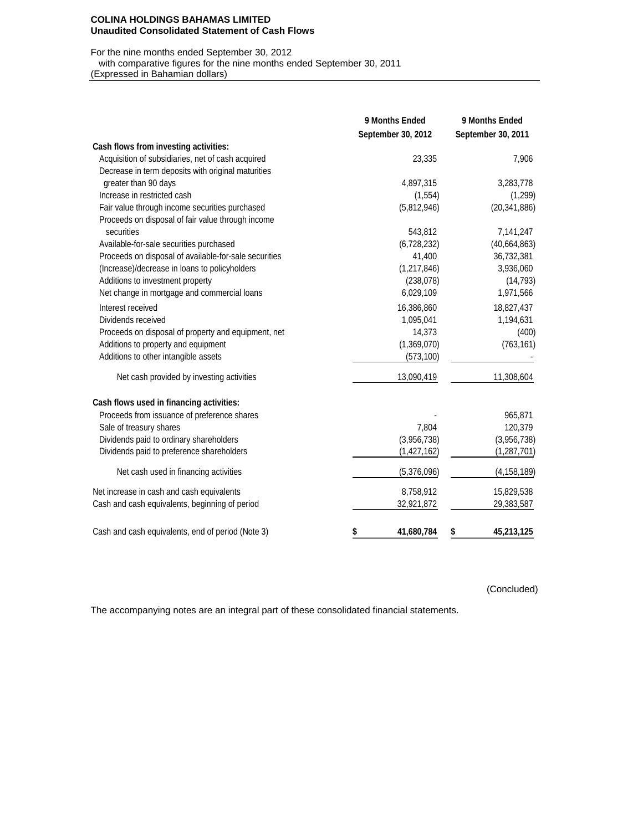#### **COLINA HOLDINGS BAHAMAS LIMITED Unaudited Consolidated Statement of Cash Flows**

### For the nine months ended September 30, 2012

with comparative figures for the nine months ended September 30, 2011

(Expressed in Bahamian dollars)

|                                                       | 9 Months Ended<br>September 30, 2012 | 9 Months Ended<br>September 30, 2011 |
|-------------------------------------------------------|--------------------------------------|--------------------------------------|
| Cash flows from investing activities:                 |                                      |                                      |
| Acquisition of subsidiaries, net of cash acquired     | 23,335                               | 7,906                                |
| Decrease in term deposits with original maturities    |                                      |                                      |
| greater than 90 days                                  | 4,897,315                            | 3,283,778                            |
| Increase in restricted cash                           | (1, 554)                             | (1,299)                              |
| Fair value through income securities purchased        | (5,812,946)                          | (20, 341, 886)                       |
| Proceeds on disposal of fair value through income     |                                      |                                      |
| securities                                            | 543,812                              | 7,141,247                            |
| Available-for-sale securities purchased               | (6,728,232)                          | (40, 664, 863)                       |
| Proceeds on disposal of available-for-sale securities | 41,400                               | 36,732,381                           |
| (Increase)/decrease in loans to policyholders         | (1, 217, 846)                        | 3,936,060                            |
| Additions to investment property                      | (238, 078)                           | (14, 793)                            |
| Net change in mortgage and commercial loans           | 6,029,109                            | 1,971,566                            |
| Interest received                                     | 16,386,860                           | 18,827,437                           |
| Dividends received                                    | 1,095,041                            | 1,194,631                            |
| Proceeds on disposal of property and equipment, net   | 14,373                               | (400)                                |
| Additions to property and equipment                   | (1,369,070)                          | (763, 161)                           |
| Additions to other intangible assets                  | (573, 100)                           |                                      |
| Net cash provided by investing activities             | 13,090,419                           | 11,308,604                           |
| Cash flows used in financing activities:              |                                      |                                      |
| Proceeds from issuance of preference shares           |                                      | 965,871                              |
| Sale of treasury shares                               | 7,804                                | 120,379                              |
| Dividends paid to ordinary shareholders               | (3,956,738)                          | (3,956,738)                          |
| Dividends paid to preference shareholders             | (1, 427, 162)                        | (1, 287, 701)                        |
| Net cash used in financing activities                 | (5,376,096)                          | (4, 158, 189)                        |
| Net increase in cash and cash equivalents             | 8,758,912                            | 15,829,538                           |
| Cash and cash equivalents, beginning of period        | 32,921,872                           | 29,383,587                           |
| Cash and cash equivalents, end of period (Note 3)     | 41,680,784<br>\$                     | 45,213,125                           |

(Concluded)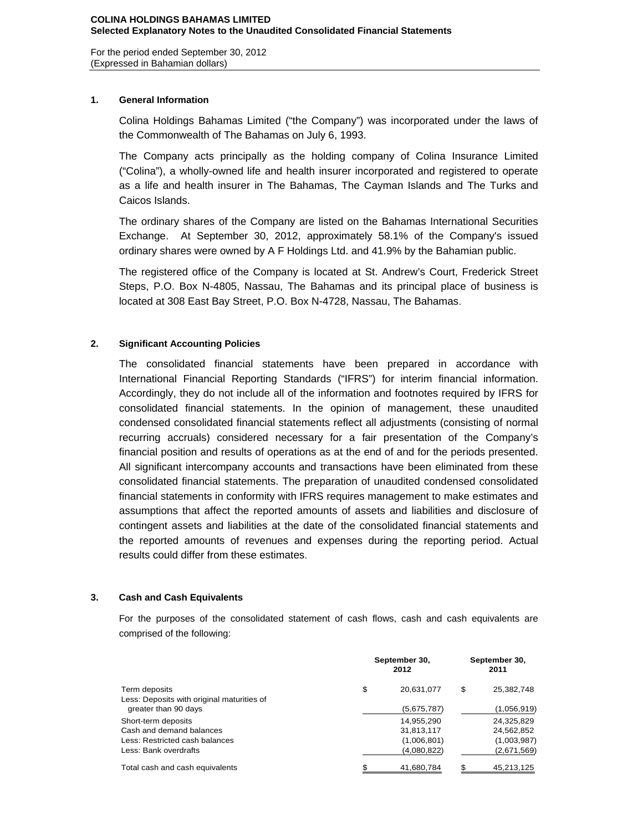For the period ended September 30, 2012 (Expressed in Bahamian dollars)

## **1. General Information**

Colina Holdings Bahamas Limited ("the Company") was incorporated under the laws of the Commonwealth of The Bahamas on July 6, 1993.

The Company acts principally as the holding company of Colina Insurance Limited ("Colina"), a wholly-owned life and health insurer incorporated and registered to operate as a life and health insurer in The Bahamas, The Cayman Islands and The Turks and Caicos Islands.

The ordinary shares of the Company are listed on the Bahamas International Securities Exchange. At September 30, 2012, approximately 58.1% of the Company's issued ordinary shares were owned by A F Holdings Ltd. and 41.9% by the Bahamian public.

The registered office of the Company is located at St. Andrew's Court, Frederick Street Steps, P.O. Box N-4805, Nassau, The Bahamas and its principal place of business is located at 308 East Bay Street, P.O. Box N-4728, Nassau, The Bahamas.

## **2. Significant Accounting Policies**

The consolidated financial statements have been prepared in accordance with International Financial Reporting Standards ("IFRS") for interim financial information. Accordingly, they do not include all of the information and footnotes required by IFRS for consolidated financial statements. In the opinion of management, these unaudited condensed consolidated financial statements reflect all adjustments (consisting of normal recurring accruals) considered necessary for a fair presentation of the Company's financial position and results of operations as at the end of and for the periods presented. All significant intercompany accounts and transactions have been eliminated from these consolidated financial statements. The preparation of unaudited condensed consolidated financial statements in conformity with IFRS requires management to make estimates and assumptions that affect the reported amounts of assets and liabilities and disclosure of contingent assets and liabilities at the date of the consolidated financial statements and the reported amounts of revenues and expenses during the reporting period. Actual results could differ from these estimates.

## **3. Cash and Cash Equivalents**

For the purposes of the consolidated statement of cash flows, cash and cash equivalents are comprised of the following:

|                                            | September 30, | September 30,<br>2011 |    |             |  |
|--------------------------------------------|---------------|-----------------------|----|-------------|--|
| Term deposits                              | \$            | 20,631,077            | \$ | 25,382,748  |  |
| Less: Deposits with original maturities of |               |                       |    |             |  |
| greater than 90 days                       |               | (5,675,787)           |    | (1,056,919) |  |
| Short-term deposits                        |               | 14,955,290            |    | 24,325,829  |  |
| Cash and demand balances                   |               | 31,813,117            |    | 24,562,852  |  |
| Less: Restricted cash balances             |               | (1,006,801)           |    | (1,003,987) |  |
| Less: Bank overdrafts                      |               | (4,080,822)           |    | (2,671,569) |  |
| Total cash and cash equivalents            | \$            | 41,680,784            | \$ | 45,213,125  |  |